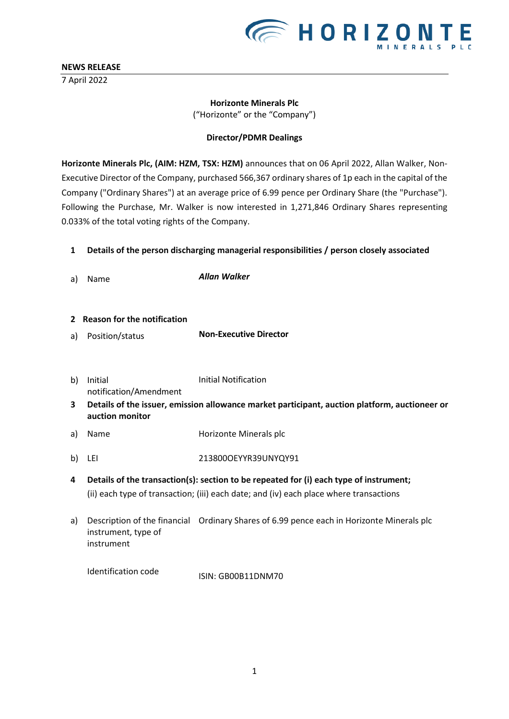

7 April 2022

## **E** HORIZONTE

#### **Horizonte Minerals Plc** ("Horizonte" or the "Company")

#### **Director/PDMR Dealings**

**Horizonte Minerals Plc, (AIM: HZM, TSX: HZM)** announces that on 06 April 2022, Allan Walker, Non-Executive Director of the Company, purchased 566,367 ordinary shares of 1p each in the capital of the Company ("Ordinary Shares") at an average price of 6.99 pence per Ordinary Share (the "Purchase"). Following the Purchase, Mr. Walker is now interested in 1,271,846 Ordinary Shares representing 0.033% of the total voting rights of the Company.

#### **1 Details of the person discharging managerial responsibilities / person closely associated**

a) Name *Allan Walker*

#### **2 Reason for the notification**

- a) Position/status **Non-Executive Director**
- b) Initial notification/Amendment Initial Notification
- **3 Details of the issuer, emission allowance market participant, auction platform, auctioneer or auction monitor**
- a) Name Horizonte Minerals plc
- b) LEI 213800OEYYR39UNYQY91
- **4 Details of the transaction(s): section to be repeated for (i) each type of instrument;** (ii) each type of transaction; (iii) each date; and (iv) each place where transactions
- a) Description of the financial Ordinary Shares of 6.99 pence each in Horizonte Minerals plc instrument, type of instrument

Identification code ISIN: GB00B11DNM70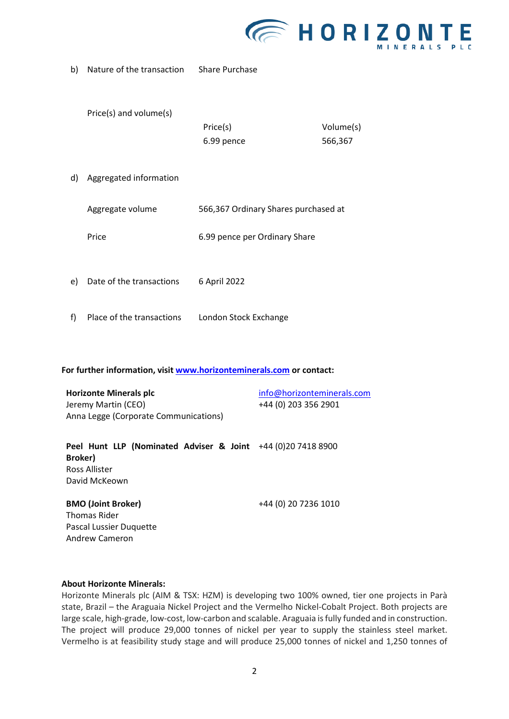

b) Nature of the transaction Share Purchase

Price(s) and volume(s)

| Price(s)   | Volume(s) |
|------------|-----------|
| 6.99 pence | 566,367   |

d) Aggregated information

| Aggregate volume | 566,367 Ordinary Shares purchased at |
|------------------|--------------------------------------|
| Price            | 6.99 pence per Ordinary Share        |

- e) Date of the transactions 6 April 2022
- f) Place of the transactions London Stock Exchange

**For further information, visi[t www.horizonteminerals.com](http://www.horizonteminerals.com/) or contact:**

| <b>Horizonte Minerals plc</b>         | info@horizonteminerals.com |
|---------------------------------------|----------------------------|
| Jeremy Martin (CEO)                   | +44 (0) 203 356 2901       |
| Anna Legge (Corporate Communications) |                            |

**Peel Hunt LLP (Nominated Adviser & Joint**  +44 (0)20 7418 8900 **Broker)** Ross Allister David McKeown

### **BMO (Joint Broker)**

+44 (0) 20 7236 1010

Thomas Rider Pascal Lussier Duquette Andrew Cameron

#### **About Horizonte Minerals:**

Horizonte Minerals plc (AIM & TSX: HZM) is developing two 100% owned, tier one projects in Parà state, Brazil – the Araguaia Nickel Project and the Vermelho Nickel-Cobalt Project. Both projects are large scale, high-grade, low-cost, low-carbon and scalable. Araguaia is fully funded and in construction. The project will produce 29,000 tonnes of nickel per year to supply the stainless steel market. Vermelho is at feasibility study stage and will produce 25,000 tonnes of nickel and 1,250 tonnes of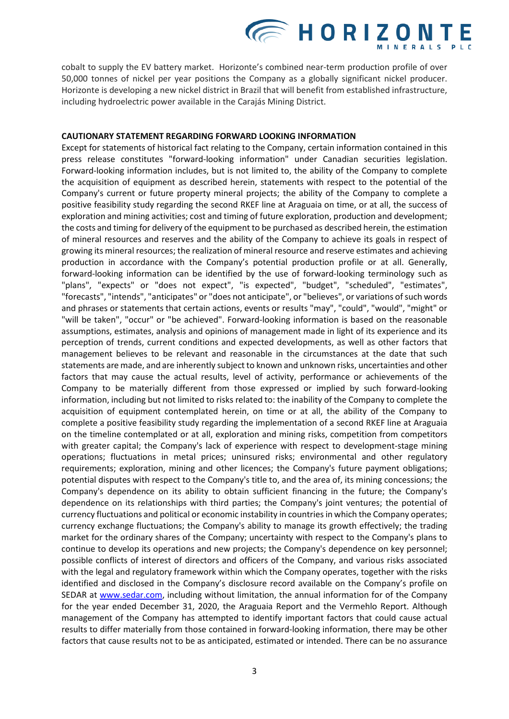# **EHORIZONT**

cobalt to supply the EV battery market. Horizonte's combined near-term production profile of over 50,000 tonnes of nickel per year positions the Company as a globally significant nickel producer. Horizonte is developing a new nickel district in Brazil that will benefit from established infrastructure, including hydroelectric power available in the Carajás Mining District.

#### **CAUTIONARY STATEMENT REGARDING FORWARD LOOKING INFORMATION**

Except for statements of historical fact relating to the Company, certain information contained in this press release constitutes "forward-looking information" under Canadian securities legislation. Forward-looking information includes, but is not limited to, the ability of the Company to complete the acquisition of equipment as described herein, statements with respect to the potential of the Company's current or future property mineral projects; the ability of the Company to complete a positive feasibility study regarding the second RKEF line at Araguaia on time, or at all, the success of exploration and mining activities; cost and timing of future exploration, production and development; the costs and timing for delivery of the equipment to be purchased as described herein, the estimation of mineral resources and reserves and the ability of the Company to achieve its goals in respect of growing its mineral resources; the realization of mineral resource and reserve estimates and achieving production in accordance with the Company's potential production profile or at all. Generally, forward-looking information can be identified by the use of forward-looking terminology such as "plans", "expects" or "does not expect", "is expected", "budget", "scheduled", "estimates", "forecasts", "intends", "anticipates" or "does not anticipate", or "believes", or variations of such words and phrases or statements that certain actions, events or results "may", "could", "would", "might" or "will be taken", "occur" or "be achieved". Forward-looking information is based on the reasonable assumptions, estimates, analysis and opinions of management made in light of its experience and its perception of trends, current conditions and expected developments, as well as other factors that management believes to be relevant and reasonable in the circumstances at the date that such statements are made, and are inherently subject to known and unknown risks, uncertainties and other factors that may cause the actual results, level of activity, performance or achievements of the Company to be materially different from those expressed or implied by such forward-looking information, including but not limited to risks related to: the inability of the Company to complete the acquisition of equipment contemplated herein, on time or at all, the ability of the Company to complete a positive feasibility study regarding the implementation of a second RKEF line at Araguaia on the timeline contemplated or at all, exploration and mining risks, competition from competitors with greater capital; the Company's lack of experience with respect to development-stage mining operations; fluctuations in metal prices; uninsured risks; environmental and other regulatory requirements; exploration, mining and other licences; the Company's future payment obligations; potential disputes with respect to the Company's title to, and the area of, its mining concessions; the Company's dependence on its ability to obtain sufficient financing in the future; the Company's dependence on its relationships with third parties; the Company's joint ventures; the potential of currency fluctuations and political or economic instability in countries in which the Company operates; currency exchange fluctuations; the Company's ability to manage its growth effectively; the trading market for the ordinary shares of the Company; uncertainty with respect to the Company's plans to continue to develop its operations and new projects; the Company's dependence on key personnel; possible conflicts of interest of directors and officers of the Company, and various risks associated with the legal and regulatory framework within which the Company operates, together with the risks identified and disclosed in the Company's disclosure record available on the Company's profile on SEDAR at [www.sedar.com,](http://www.sedar.com/) including without limitation, the annual information for of the Company for the year ended December 31, 2020, the Araguaia Report and the Vermehlo Report. Although management of the Company has attempted to identify important factors that could cause actual results to differ materially from those contained in forward-looking information, there may be other factors that cause results not to be as anticipated, estimated or intended. There can be no assurance